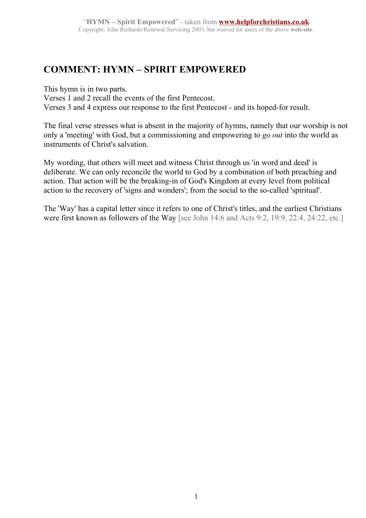## **COMMENT: HYMN – SPIRIT EMPOWERED**

This hymn is in two parts.

Verses 1 and 2 recall the events of the first Pentecost.

Verses 3 and 4 express our response to the first Pentecost - and its hoped-for result.

The final verse stresses what is absent in the majority of hymns, namely that our worship is not only a 'meeting' with God, but a commissioning and empowering to *go out* into the world as instruments of Christ's salvation.

My wording, that others will meet and witness Christ through us 'in word and deed' is deliberate. We can only reconcile the world to God by a combination of both preaching and action. That action will be the breaking-in of God's Kingdom at every level from political action to the recovery of 'signs and wonders'; from the social to the so-called 'spiritual'.

The 'Way' has a capital letter since it refers to one of Christ's titles, and the earliest Christians were first known as followers of the Way [see John 14:6 and Acts 9:2, 19:9, 22:4, 24:22, etc.]